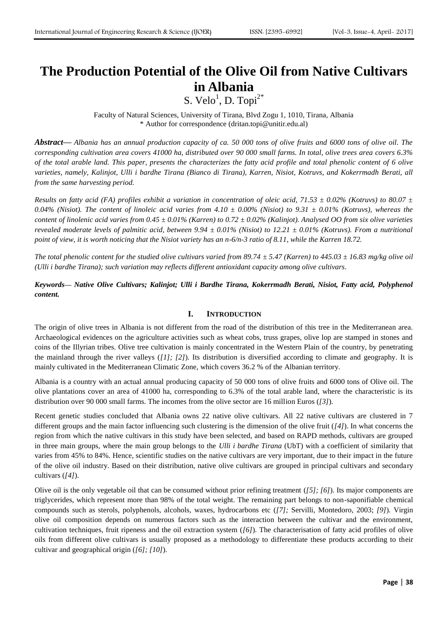# **The Production Potential of the Olive Oil from Native Cultivars in Albania**

S. Velo<sup>1</sup>, D. Topi<sup>2\*</sup>

Faculty of Natural Sciences, University of Tirana, Blvd Zogu 1, 1010, Tirana, Albania \* Author for correspondence [\(dritan.topi@unitir.edu.al\)](mailto:dritan.topi@unitir.edu.al)

*Abstract***—** *Albania has an annual production capacity of ca. 50 000 tons of olive fruits and 6000 tons of olive oil. The corresponding cultivation area covers 41000 ha, distributed over 90 000 small farms. In total, olive trees area covers 6.3% of the total arable land. This paper, presents the characterizes the fatty acid profile and total phenolic content of 6 olive varieties, namely, Kalinjot, Ulli i bardhe Tirana (Bianco di Tirana), Karren, Nisiot, Kotruvs, and Kokerrmadh Berati, all from the same harvesting period.*

*Results on fatty acid (FA) profiles exhibit a variation in concentration of oleic acid, 71.53 ± 0.02% (Kotruvs) to 80.07 ± 0.04% (Nisiot). The content of linoleic acid varies from 4.10 ± 0.00% (Nisiot) to 9.31 ± 0.01% (Kotruvs), whereas the content of linolenic acid varies from 0.45 ± 0.01% (Karren) to 0.72 ± 0.02% (Kalinjot). Analysed OO from six olive varieties revealed moderate levels of palmitic acid, between 9.94 ± 0.01% (Nisiot) to 12.21 ± 0.01% (Kotruvs). From a nutritional point of view, it is worth noticing that the Nisiot variety has an n-6/n-3 ratio of 8.11, while the Karren 18.72.*

*The total phenolic content for the studied olive cultivars varied from 89.74*  $\pm$  *5.47 (Karren) to 445.03*  $\pm$  16.83 mg/kg olive oil *(Ulli i bardhe Tirana); such variation may reflects different antioxidant capacity among olive cultivars.*

*Keywords— Native Olive Cultivars; Kalinjot; Ulli i Bardhe Tirana, Kokerrmadh Berati, Nisiot, Fatty acid, Polyphenol content.*

#### **I. INTRODUCTION**

The origin of olive trees in Albania is not different from the road of the distribution of this tree in the Mediterranean area. Archaeological evidences on the agriculture activities such as wheat cobs, truss grapes, olive lop are stamped in stones and coins of the Illyrian tribes. Olive tree cultivation is mainly concentrated in the Western Plain of the country, by penetrating the mainland through the river valleys (*[\[1\];](#page-4-0) [\[2\]](#page-4-1)*). Its distribution is diversified according to climate and geography. It is mainly cultivated in the Mediterranean Climatic Zone, which covers 36.2 % of the Albanian territory.

Albania is a country with an actual annual producing capacity of 50 000 tons of olive fruits and 6000 tons of Olive oil. The olive plantations cover an area of 41000 ha, corresponding to 6.3% of the total arable land, where the characteristic is its distribution over 90 000 small farms. The incomes from the olive sector are 16 million Euros (*[\[3\]](#page-4-2)*).

Recent genetic studies concluded that Albania owns 22 native olive cultivars. All 22 native cultivars are clustered in 7 different groups and the main factor influencing such clustering is the dimension of the olive fruit (*[\[4\]](#page-4-3)*). In what concerns the region from which the native cultivars in this study have been selected, and based on RAPD methods, cultivars are grouped in three main groups, where the main group belongs to the *Ulli i bardhe Tirana* (UbT) with a coefficient of similarity that varies from 45% to 84%. Hence, scientific studies on the native cultivars are very important, due to their impact in the future of the olive oil industry. Based on their distribution, native olive cultivars are grouped in principal cultivars and secondary cultivars (*[\[4\]](#page-4-3)*).

Olive oil is the only vegetable oil that can be consumed without prior refining treatment (*[\[5\];](#page-4-4) [\[6\]](#page-4-5)*). Its major components are triglycerides, which represent more than 98% of the total weight. The remaining part belongs to non-saponifiable chemical compounds such as sterols, polyphenols, alcohols, waxes, hydrocarbons etc (*[\[7\];](#page-4-6)* Servilli, Montedoro, 2003; *[\[9\]](#page-4-7)*). Virgin olive oil composition depends on numerous factors such as the interaction between the cultivar and the environment, cultivation techniques, fruit ripeness and the oil extraction system (*[\[6\]](#page-4-5)*). The characterisation of fatty acid profiles of olive oils from different olive cultivars is usually proposed as a methodology to differentiate these products according to their cultivar and geographical origin (*[\[6\];](#page-4-5) [\[10\]](#page-4-8)*).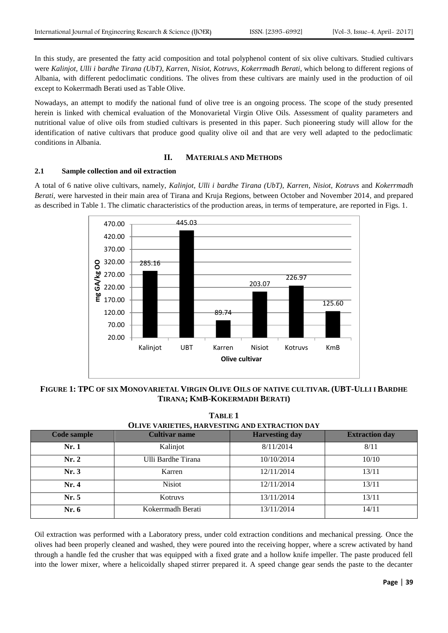In this study, are presented the fatty acid composition and total polyphenol content of six olive cultivars. Studied cultivars were *Kalinjot, Ulli i bardhe Tirana (UbT)*, *Karren*, *Nisiot*, *Kotruvs, Kokerrmadh Berati*, which belong to different regions of Albania, with different pedoclimatic conditions. The olives from these cultivars are mainly used in the production of oil except to Kokerrmadh Berati used as Table Olive.

Nowadays, an attempt to modify the national fund of olive tree is an ongoing process. The scope of the study presented herein is linked with chemical evaluation of the Monovarietal Virgin Olive Oils. Assessment of quality parameters and nutritional value of olive oils from studied cultivars is presented in this paper. Such pioneering study will allow for the identification of native cultivars that produce good quality olive oil and that are very well adapted to the pedoclimatic conditions in Albania.

## **II. MATERIALS AND METHODS**

## **2.1 Sample collection and oil extraction**

A total of 6 native olive cultivars, namely, *Kalinjot, Ulli i bardhe Tirana (UbT)*, *Karren*, *Nisiot*, *Kotruvs* and *Kokerrmadh Berati*, were harvested in their main area of Tirana and Kruja Regions, between October and November 2014, and prepared as described in Table 1. The climatic characteristics of the production areas, in terms of temperature, are reported in Figs. 1.



**FIGURE 1: TPC OF SIX MONOVARIETAL VIRGIN OLIVE OILS OF NATIVE CULTIVAR. (UBT-ULLI I BARDHE TIRANA; KMB-KOKERMADH BERATI)**

**TABLE 1**

| тирне т                                        |                      |                       |                       |  |  |  |  |  |
|------------------------------------------------|----------------------|-----------------------|-----------------------|--|--|--|--|--|
| OLIVE VARIETIES, HARVESTING AND EXTRACTION DAY |                      |                       |                       |  |  |  |  |  |
| Code sample                                    | <b>Cultivar name</b> | <b>Harvesting day</b> | <b>Extraction day</b> |  |  |  |  |  |
| Nr.1                                           | Kalinjot             | 8/11/2014             | 8/11                  |  |  |  |  |  |
| Nr. 2                                          | Ulli Bardhe Tirana   | 10/10/2014            | 10/10                 |  |  |  |  |  |
| Nr.3                                           | Karren               | 12/11/2014            | 13/11                 |  |  |  |  |  |
| Nr.4                                           | <b>Nisiot</b>        | 12/11/2014            | 13/11                 |  |  |  |  |  |
| Nr. 5                                          | Kotruvs              | 13/11/2014            | 13/11                 |  |  |  |  |  |
| Nr.6                                           | Kokerrmadh Berati    | 13/11/2014            | 14/11                 |  |  |  |  |  |

Oil extraction was performed with a Laboratory press, under cold extraction conditions and mechanical pressing. Once the olives had been properly cleaned and washed, they were poured into the receiving hopper, where a screw activated by hand through a handle fed the crusher that was equipped with a fixed grate and a hollow knife impeller. The paste produced fell into the lower mixer, where a helicoidally shaped stirrer prepared it. A speed change gear sends the paste to the decanter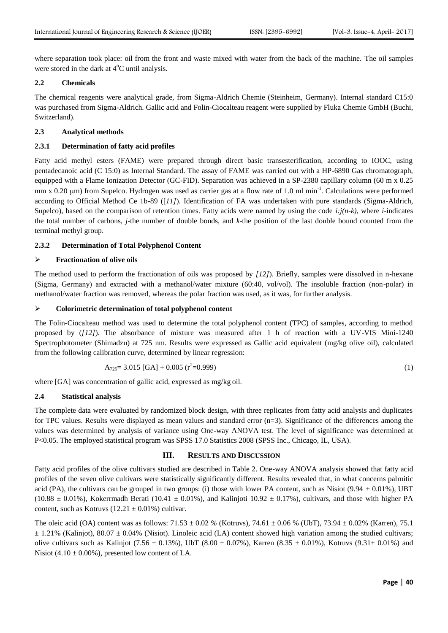where separation took place: oil from the front and waste mixed with water from the back of the machine. The oil samples were stored in the dark at  $4^{\circ}$ C until analysis.

#### **2.2 Chemicals**

The chemical reagents were analytical grade, from Sigma-Aldrich Chemie (Steinheim, Germany). Internal standard C15:0 was purchased from Sigma-Aldrich. Gallic acid and Folin-Ciocalteau reagent were supplied by Fluka Chemie GmbH (Buchi, Switzerland).

## **2.3 Analytical methods**

### **2.3.1 Determination of fatty acid profiles**

Fatty acid methyl esters (FAME) were prepared through direct basic transesterification, according to IOOC, using pentadecanoic acid (C 15:0) as Internal Standard. The assay of FAME was carried out with a HP-6890 Gas chromatograph, equipped with a Flame Ionization Detector (GC-FID). Separation was achieved in a SP-2380 capillary column (60 m x 0.25 mm x  $0.20 \mu$ m) from Supelco. Hydrogen was used as carrier gas at a flow rate of 1.0 ml min<sup>-1</sup>. Calculations were performed according to Official Method Ce 1b-89 ([*[11\]](#page-4-9)*). Identification of FA was undertaken with pure standards (Sigma-Aldrich, Supelco), based on the comparison of retention times. Fatty acids were named by using the code  $i: j(n-k)$ , where *i*-indicates the total number of carbons, *j*-the number of double bonds, and *k*-the position of the last double bound counted from the terminal methyl group.

#### **2.3.2 Determination of Total Polyphenol Content**

#### **Fractionation of olive oils**

The method used to perform the fractionation of oils was proposed by *[\[12\]](#page-4-10)*). Briefly, samples were dissolved in n-hexane (Sigma, Germany) and extracted with a methanol/water mixture (60:40, vol/vol). The insoluble fraction (non-polar) in methanol/water fraction was removed, whereas the polar fraction was used, as it was, for further analysis.

#### **Colorimetric determination of total polyphenol content**

The Folin-Ciocalteau method was used to determine the total polyphenol content (TPC) of samples, according to method proposed by (*[\[12\]](#page-4-10)*). The absorbance of mixture was measured after 1 h of reaction with a UV-VIS Mini-1240 Spectrophotometer (Shimadzu) at 725 nm. Results were expressed as Gallic acid equivalent (mg/kg olive oil), calculated from the following calibration curve, determined by linear regression:

$$
A_{725} = 3.015 \text{ [GA]} + 0.005 \text{ (r}^2 = 0.999) \tag{1}
$$

where [GA] was concentration of gallic acid, expressed as mg/kg oil.

#### **2.4 Statistical analysis**

The complete data were evaluated by randomized block design, with three replicates from fatty acid analysis and duplicates for TPC values. Results were displayed as mean values and standard error (n=3). Significance of the differences among the values was determined by analysis of variance using One-way ANOVA test. The level of significance was determined at P<0.05. The employed statistical program was SPSS 17.0 Statistics 2008 (SPSS Inc., Chicago, IL, USA).

#### **III. RESULTS AND DISCUSSION**

Fatty acid profiles of the olive cultivars studied are described in Table 2. One-way ANOVA analysis showed that fatty acid profiles of the seven olive cultivars were statistically significantly different. Results revealed that, in what concerns palmitic acid (PA), the cultivars can be grouped in two groups: (i) those with lower PA content, such as Nisiot (9.94  $\pm$  0.01%), UBT (10.88  $\pm$  0.01%), Kokerrmadh Berati (10.41  $\pm$  0.01%), and Kalinjoti 10.92  $\pm$  0.17%), cultivars, and those with higher PA content, such as Kotruvs ( $12.21 \pm 0.01\%$ ) cultivar.

The oleic acid (OA) content was as follows: 71.53 ± 0.02 *%* (Kotruvs), 74.61 ± 0.06 % (UbT), 73.94 ± 0.02% (Karren), 75.1  $\pm$  1.21% (Kalinjot), 80.07  $\pm$  0.04% (Nisiot). Linoleic acid (LA) content showed high variation among the studied cultivars; olive cultivars such as Kalinjot (7.56  $\pm$  0.13%), UbT (8.00  $\pm$  0.07%), Karren (8.35  $\pm$  0.01%), Kotruvs (9.31 $\pm$  0.01%) and Nisiot (4.10  $\pm$  0.00%), presented low content of LA.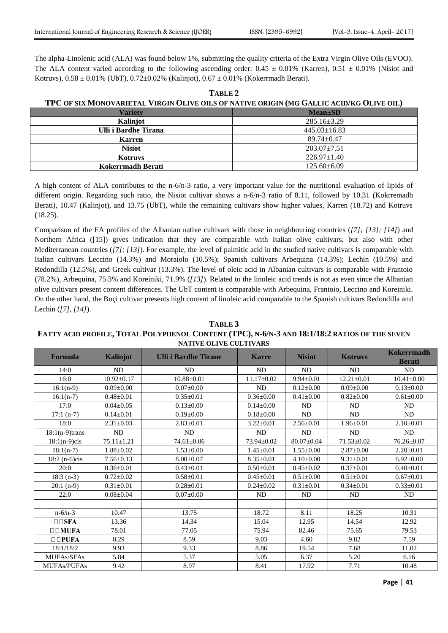The alpha-Linolenic acid (ALA) was found below 1%, submitting the quality criteria of the Extra Virgin Olive Oils (EVOO). The ALA content varied according to the following ascending order:  $0.45 \pm 0.01\%$  (Karren),  $0.51 \pm 0.01\%$  (Nisiot and Kotruvs),  $0.58 \pm 0.01\%$  (UbT),  $0.72 \pm 0.02\%$  (Kalinjot),  $0.67 \pm 0.01\%$  (Kokerrmadh Berati).

**TABLE 2 TPC OF SIX MONOVARIETAL VIRGIN OLIVE OILS OF NATIVE ORIGIN (MG GALLIC ACID/KG OLIVE OIL)**

| <b>Variety</b>       | $Mean \pm SD$      |  |  |  |  |
|----------------------|--------------------|--|--|--|--|
| Kalinjot             | $285.16 \pm 3.29$  |  |  |  |  |
| Ulli i Bardhe Tirana | $445.03 \pm 16.83$ |  |  |  |  |
| <b>Karren</b>        | $89.74 \pm 0.47$   |  |  |  |  |
| <b>Nisiot</b>        | $203.07 \pm 7.51$  |  |  |  |  |
| Kotruvs              | $226.97 \pm 1.40$  |  |  |  |  |
| Kokerrmadh Berati    | $125.60 \pm 6.09$  |  |  |  |  |

A high content of ALA contributes to the n-6/n-3 ratio, a very important value for the nutritional evaluation of lipids of different origin. Regarding such ratio, the Nisiot cultivar shows a n-6/n-3 ratio of 8.11, followed by 10.31 (Kokrremadh Berati), 10.47 (Kalinjot), and 13.75 (UbT), while the remaining cultivars show higher values, Karren (18.72) and Kotruvs (18.25).

Comparison of the FA profiles of the Albanian native cultivars with those in neighbouring countries (*[\[7\];](#page-4-6) [\[13\];](#page-5-0) [\[14\]](#page-5-1)*) and Northern Africa [\(\[15\]\)](#page-5-2) gives indication that they are comparable with Italian olive cultivars, but also with other Mediterranean countries (*[\[7\];](#page-4-6) [\[13\]](#page-5-0)*). For example, the level of palmitic acid in the studied native cultivars is comparable with Italian cultivars Leccino (14.3%) and Moraiolo (10.5%); Spanish cultivars Arbequina (14.3%); Lechin (10.5%) and Redondilla (12.5%), and Greek cultivar (13.3%). The level of oleic acid in Albanian cultivars is comparable with Frantoio (78.2%), Arbequina, 75.3% and Koreiniki, 71.9% (*[\[13\]](#page-5-0)*). Related to the linoleic acid trends is not as even since the Albanian olive cultivars present content differences. The UbT content is comparable with Arbequina, Frantoio, Leccino and Koreiniki. On the other hand, the Boçi cultivar presents high content of linoleic acid comparable to the Spanish cultivars Redondilla and Lechin (*[\[7\],](#page-4-6) [\[14\]](#page-5-1)*).

## **TABLE 3 FATTY ACID PROFILE, TOTAL POLYPHENOL CONTENT (TPC), N-6/N-3 AND 18:1/18:2 RATIOS OF THE SEVEN NATIVE OLIVE CULTIVARS**

| Formula                    | Kalinjot         | <b>Ulli i Bardhe Tirane</b> | <b>Karre</b>     | <b>Nisiot</b>    | <b>Kotruvs</b>   | Kokerrmadh<br><b>Berati</b> |
|----------------------------|------------------|-----------------------------|------------------|------------------|------------------|-----------------------------|
| 14:0                       | ND               | <b>ND</b>                   | ND               | <b>ND</b>        | ND               | ND                          |
| 16:0                       | $10.92 \pm 0.17$ | $10.88 \pm 0.01$            | $11.17 \pm 0.02$ | $9.94 \pm 0.01$  | $12.21 \pm 0.01$ | $10.41 \pm 0.00$            |
| $16:1(n-9)$                | $0.09 \pm 0.00$  | $0.07 \pm 0.00$             | ${\rm ND}$       | $0.12 \pm 0.00$  | $0.09 \pm 0.00$  | $0.13 \pm 0.00$             |
| $16:1(n-7)$                | $0.48 \pm 0.01$  | $0.35 \pm 0.01$             | $0.36 \pm 0.00$  | $0.41 \pm 0.00$  | $0.82 \pm 0.00$  | $0.61 \pm 0.00$             |
| 17:0                       | $0.04 \pm 0.05$  | $0.13 \pm 0.00$             | $0.14 \pm 0.00$  | <b>ND</b>        | <b>ND</b>        | <b>ND</b>                   |
| $17:1(n-7)$                | $0.14 \pm 0.01$  | $0.19 \pm 0.00$             | $0.18 \pm 0.00$  | <b>ND</b>        | <b>ND</b>        | <b>ND</b>                   |
| 18:0                       | $2.31 \pm 0.03$  | $2.83 \pm 0.01$             | $3.22 \pm 0.01$  | $2.56 \pm 0.01$  | $1.96 \pm 0.01$  | $2.10\pm0.01$               |
| $18:1(n-9)$ trans          | <b>ND</b>        | <b>ND</b>                   | <b>ND</b>        | <b>ND</b>        | <b>ND</b>        | <b>ND</b>                   |
| $18:1(n-9)c$ is            | $75.11 \pm 1.21$ | 74.61±0.06                  | 73.94±0.02       | $80.07 \pm 0.04$ | $71.53 \pm 0.02$ | $76.26 \pm 0.07$            |
| $18:1(n-7)$                | $1.88 \pm 0.02$  | $1.53 \pm 0.00$             | $1.45 \pm 0.01$  | $1.55 \pm 0.00$  | $2.87 \pm 0.00$  | $2.20 \pm 0.01$             |
| $18:2(n-6)c$ is            | $7.56 \pm 0.13$  | $8.00 \pm 0.07$             | $8.35 \pm 0.01$  | $4.10 \pm 0.00$  | $9.31 \pm 0.01$  | $6.92 \pm 0.00$             |
| 20:0                       | $0.36 \pm 0.01$  | $0.43 \pm 0.01$             | $0.50 \pm 0.01$  | $0.45 \pm 0.02$  | $0.37 \pm 0.01$  | $0.40 \pm 0.01$             |
| $18:3(n-3)$                | $0.72 \pm 0.02$  | $0.58 \pm 0.01$             | $0.45 \pm 0.01$  | $0.51 \pm 0.00$  | $0.51 \pm 0.01$  | $0.67 \pm 0.01$             |
| $20:1(n-9)$                | $0.31 \pm 0.01$  | $0.28 \pm 0.01$             | $0.24 \pm 0.02$  | $0.31 \pm 0.01$  | $0.34 \pm 0.01$  | $0.33 \pm 0.01$             |
| 22:0                       | $0.08 + 0.04$    | $0.07 \pm 0.00$             | <b>ND</b>        | <b>ND</b>        | <b>ND</b>        | <b>ND</b>                   |
|                            |                  |                             |                  |                  |                  |                             |
| $n - 6/n - 3$              | 10.47            | 13.75                       | 18.72            | 8.11             | 18.25            | 10.31                       |
|                            | 13.36            | 14.34                       | 15.04            | 12.95            | 14.54            | 12.92                       |
| $\square$ $\square$ $MUFA$ | 78.01            | 77.05                       | 75.94            | 82.46            | 75.65            | 79.53                       |
| $\square \square$ PUFA     | 8.29             | 8.59                        | 9.03             | 4.60             | 9.82             | 7.59                        |
| 18:1/18:2                  | 9.93             | 9.33                        | 8.86             | 19.54            | 7.68             | 11.02                       |
| <b>MUFAs/SFAs</b>          | 5.84             | 5.37                        | 5.05             | 6.37             | 5.20             | 6.16                        |
| <b>MUFAs/PUFAs</b>         | 9.42             | 8.97                        | 8.41             | 17.92            | 7.71             | 10.48                       |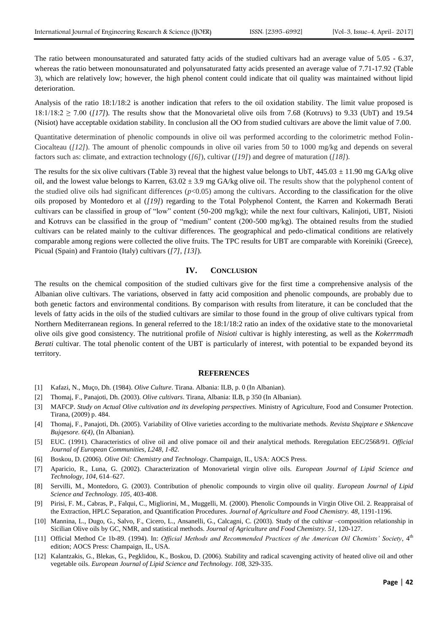The ratio between monounsaturated and saturated fatty acids of the studied cultivars had an average value of 5.05 - 6.37, whereas the ratio between monounsaturated and polyunsaturated fatty acids presented an average value of 7.71-17.92 (Table 3), which are relatively low; however, the high phenol content could indicate that oil quality was maintained without lipid deterioration.

Analysis of the ratio 18:1/18:2 is another indication that refers to the oil oxidation stability. The limit value proposed is  $18:1/18:2 \ge 7.00$  ( $17$ ). The results show that the Monovarietal olive oils from 7.68 (Kotruvs) to 9.33 (UbT) and 19.54 (Nisiot) have acceptable oxidation stability. In conclusion all the OO from studied cultivars are above the limit value of 7.00.

Quantitative determination of phenolic compounds in olive oil was performed according to the colorimetric method Folin-Ciocalteau (*[\[12\]](#page-4-10)*). The amount of phenolic compounds in olive oil varies from 50 to 1000 mg/kg and depends on several factors such as: climate, and extraction technology (*[\[6\]](#page-4-5)*), cultivar (*[\[19\]](#page-5-4)*) and degree of maturation (*[\[18\]](#page-5-5)*).

The results for the six olive cultivars (Table 3) reveal that the highest value belongs to UbT,  $445.03 \pm 11.90$  mg GA/kg olive oil, and the lowest value belongs to Karren,  $63.02 \pm 3.9$  mg GA/kg olive oil. The results show that the polyphenol content of the studied olive oils had significant differences  $(p<0.05)$  among the cultivars. According to the classification for the olive oils proposed by Montedoro et al (*[\[19\]](#page-5-4)*) regarding to the Total Polyphenol Content, the Karren and Kokermadh Berati cultivars can be classified in group of "low" content (50-200 mg/kg); while the next four cultivars, Kalinjoti, UBT, Nisioti and Kotruvs can be classified in the group of "medium" content (200-500 mg/kg). The obtained results from the studied cultivars can be related mainly to the cultivar differences. The geographical and pedo-climatical conditions are relatively comparable among regions were collected the olive fruits. The TPC results for UBT are comparable with Koreiniki (Greece), Picual (Spain) and Frantoio (Italy) cultivars (*[\[7\],](#page-4-6) [\[13\]](#page-5-0)*).

#### **IV. CONCLUSION**

The results on the chemical composition of the studied cultivars give for the first time a comprehensive analysis of the Albanian olive cultivars. The variations, observed in fatty acid composition and phenolic compounds, are probably due to both genetic factors and environmental conditions. By comparison with results from literature, it can be concluded that the levels of fatty acids in the oils of the studied cultivars are similar to those found in the group of olive cultivars typical from Northern Mediterranean regions. In general referred to the 18:1/18:2 ratio an index of the oxidative state to the monovarietal olive oils give good consistency. The nutritional profile of *Nisioti* cultivar is highly interesting, as well as the *Kokerrmadh Berati* cultivar. The total phenolic content of the UBT is particularly of interest, with potential to be expanded beyond its territory.

#### **REFERENCES**

- <span id="page-4-0"></span>[1] Kafazi, N., Muço, Dh. (1984). *Olive Culture*. Tirana. Albania: ILB, p. 0 (In Albanian).
- <span id="page-4-1"></span>[2] Thomaj, F., Panajoti, Dh. (2003). *Olive cultivars*. Tirana, Albania: ILB, p 350 (In Albanian).
- <span id="page-4-2"></span>[3] MAFCP. *Study on Actual Olive cultivation and its developing perspectives.* Ministry of Agriculture, Food and Consumer Protection. Tirana, (2009) p. 484.
- <span id="page-4-3"></span>[4] Thomaj, F., Panajoti, Dh. (2005). Variability of Olive varieties according to the multivariate methods. *Revista Shqiptare e Shkencave Bujqesore. 6(4),* (In Albanian).
- <span id="page-4-4"></span>[5] EUC. (1991). Characteristics of olive oil and olive pomace oil and their analytical methods. Reregulation EEC/2568/91. *Official Journal of European Communities, L248, 1-82.*
- <span id="page-4-5"></span>[6] Boskou, D. (2006). *Olive Oil: Chemistry and Technology*. Champaign, IL, USA: AOCS Press.
- <span id="page-4-6"></span>[7] Aparicio, R., Luna, G. (2002). Characterization of Monovarietal virgin olive oils. *European Journal of Lipid Science and Technology, 104,* 614–627.
- [8] Servilli, M., Montedoro, G. (2003). Contribution of phenolic compounds to virgin olive oil quality. *European Journal of Lipid Science and Technology. 105,* 403-408.
- <span id="page-4-7"></span>[9] Pirisi, F. M., Cabras, P., Falqui, C., Migliorini, M., Muggelli, M. (2000). Phenolic Compounds in Virgin Olive Oil. 2. Reappraisal of the Extraction, HPLC Separation, and Quantification Procedures. *Journal of Agriculture and Food Chemistry. 48,* 1191-1196.
- <span id="page-4-8"></span>[10] Mannina, L., Dugo, G., Salvo, F., Cicero, L., Ansanelli, G., Calcagni, C. (2003). Study of the cultivar –composition relationship in Sicilian Olive oils by GC, NMR, and statistical methods. *Journal of Agriculture and Food Chemistry. 51,* 120-127.
- <span id="page-4-9"></span>[11] Official Method Ce 1b-89. (1994). In: *Official Methods and Recommended Practices of the American Oil Chemists' Society*, 4th edition; AOCS Press: Champaign, IL, USA.
- <span id="page-4-10"></span>[12] Kalantzakis, G., Blekas, G., Pegklidou, K., Boskou, D. (2006). Stability and radical scavenging activity of heated olive oil and other vegetable oils. *European Journal of Lipid Science and Technology. 108,* 329-335.